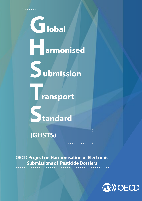

**OECD Project on Harmonisation of Electronic Submissions of Pesticide Dossiers**

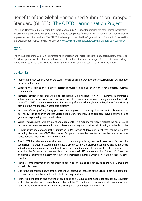# Benefits of the Global Harmonised Submission Transport Standard (GHSTS) | The OECD Harmonisation Project

The Global Harmonised Submission Transport Standard (GHSTS) is a standardised set of technical specifications for assembling electronic files prepared by pesticide companies for submission to governments for regulatory approval of pesticide products. The GHSTS has been published by the Organisation for Economic Co-operation and Development (OECD) and is available at [www.oecd.org/chemicalsafety/submission-transport-standard/](%20www.oecd.org/chemicalsafety/submission-transport-standard/)

# goal

The overall goal of the GHSTS is to promote harmonisation and increase the efficiency of regulatory processes. The development of this standard allows for easier submission and exchange of electronic data packages between industry and regulatory authorities as well as across all participating regulatory authorities.

# **BENEFITS**

- Promotes harmonisation through the establishment of a single worldwide technical standard for all types of pesticide submissions.
- Supports the submission of a single dossier to multiple recipients, even if they have different business requirements.
- $\bullet$  Increases efficiency for preparing and processing Multi-National Reviews currently multinational submissions are both resource intensive for industry to assemble and awkward for regulatory authorities to review. The GHSTS improves communication and simplifies work sharing between Regulatory Authorities by providing the information on a standard platform.
- Increases efficiency of regulatory processes and approvals better quality electronic submissions can potentially lead to shorter and less variable regulatory timelines, since applicants have better tools and guidance on preparing complete dossiers.
- Version management for submissions and documents in a regulatory action, it reduces the need to send duplicate documents across multiple submissions, since they are contained within a single revisable dossier.
- Delivers structured data about the submission in XML format. Multiple document types can be submitted including the structured OECD Harmonised Templates. Harmonised content allows the data to be more structured and readable for man and machine.
- The GHSTS includes elements that are common among existing electronic standards for pesticide submission. The OECD focused on the metadata used in each of the electronic standards already in place to submit information to regulatory authorities and developed a single set of metadata that could be used by all authorities. For example, there are plans to incorporate GHSTS requirements into future IUCLID releases, an electronic submission system for registering chemicals in Europe, which is increasingly used by other countries.
- Provides some information management capabilities for smaller companies, since the GHSTS tracks the lifecycle of a dossier.
- Due to the generalised nature of the components, fields, and lifecycles of the GHSTS, it can be adapted for use in other business lines, and is not only limited to pesticides.
- Promotes identification and tracking of entities using a unique coding system for companies, regulatory authorities, substances, documents, and other entities. This unique coding system helps companies and regulatory authorities work together in identifying and managing such information.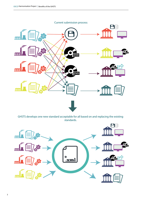

GHSTS develops one new standard acceptable for all based on and replacing the existing standards.

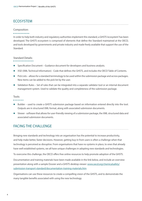# ECOSYSTEM

## Composition:

#### . . . . . . . . . . .

In order to help both industry and regulatory authorities implement this standard, a GHSTS 'ecosystem' has been developed. The GHSTS ecosystem is comprised of elements that define the Standard maintained at the OECD, and tools developed by governments and private industry and made freely available that support the use of the Standard.

## Standard Details:

- z Specification Document Guidance document for developers and business analysts.
- z XSD (XML Technical Information) Code that defines the GHSTS, and includes the OECD Table of Contents.
- $\bullet$  Pick Lists allows for a standard terminology to be used within the submission package and across packages. New items can be added to the pick list by the user.
- Validation Rules Set of rules that can be integrated into a separate validator tool or an internal document management system. Used to validate the quality and completeness of the submission package.

#### Tools:

- 
- Builder used to create a GHSTS submission package based on information entered directly into the tool. Outputs are in structured XML format, along with associated submission documents.
- Viewer software that allows for user-friendly viewing of a submission package, the XML structured data and associated submission documents.

# Facing the challenge

Bringing new standards and technology into an organisation has the potential to increase productivity, and help make better, faster decisions. However, getting buy-in from users is often a challenge when that technology is perceived as disruptive. From organisations that have no systems in place, to ones that already have well established systems, we all have unique challenges in adopting new standards and technologies.

To overcome this challenge, the OECD offers free online resources to help promote adoption of the GHSTS.

Documentation and training materials have been made available in the link below, and include an overview presentation along with a sample Dossier and a GHSTS desktop viewer: [www.oecd.org/chemicalsafety/](http://www.oecd.org/chemicalsafety/submission-transport-standard/documentation-training-materials.htm) [submission-transport-standard/documentation-training-materials.htm](http://www.oecd.org/chemicalsafety/submission-transport-standard/documentation-training-materials.htm)

Organisations can use these resources to create a compelling vision of the GHSTS, and to demonstrate the many tangible benefits associated with using the new technology.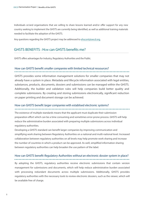Individuals or/and organisations that are willing to share lessons learned and/or offer support for any new country seeking to implement the GHSTS are currently being identified, as well as additional training materials needed to facilitate the adoption of the GHSTS.

any questions regarding the GHSTS project may be addressed to [ehscont@oecd.org.](mailto:ehs.cont%40oecd.org?subject=ehs.cont%40oecd.org)

# GHSTS BENEFITS : How can GHSTS benefits me?

on paper printing and document storage can be achieved.

GHSTS offers advantages for Industry, Regulatory Authorities and the Public.

## How can GHSTS benefit smaller companies with limited technical ressources?

GHSTS provides some information management solutions for smaller companies that may not already have a system in place. Metadata and lifecycle information associated with legal entities, substances, products, documents, dossiers and submissions can be managed within the GHSTS. Additionally, the builder and validation rules will help companies build better quality and complete submissions. By creating and storing submissions electronically, significant reduction

# How can GHSTS benefit larger companies with establised electronic systems?

The existence of multiple standards means that the applicant must duplicate their submission preparation effort which can be a time consuming and sometimes error-prone process. GHSTS will help reduce the administrative burden associated with preparing multiple submissions across individual regulatory authorities.

Developing a GHSTS standard can benefit larger companies by improving communication and simplifying work sharing between Regulatory Authorities on a national and multi-national level. Increased collaboration between regulatory authorities on all levels may help promote work sharing and increase the number of countries in which a product can be approved. As well, simplified information sharing between regulatory authorities can help broaden the use pattern of the label.

# How can GHSTS benefit Regulatory Authorities without an electronic dossier system in place?

By adopting the GHSTS, regulatory authorities receive electronic submissions that contain version management for submissions and documents, which will help reduce administrative burden associated with processing redundant documents across multiple submissions. Additionally, GHSTS provides regulatory authorities with the necessary tools to review electronic dossiers, such as the viewer, which will be available free of charge.